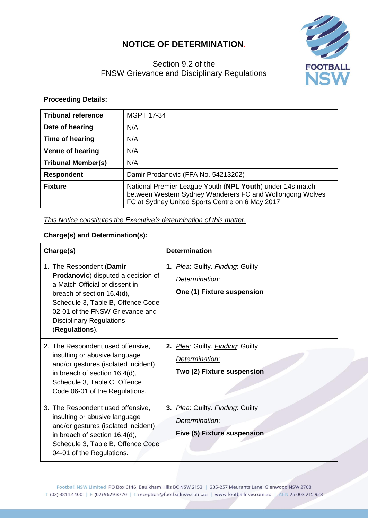## **NOTICE OF DETERMINATION**.





## **Proceeding Details:**

| <b>Tribunal reference</b> | MGPT 17-34                                                                                                                                                                |
|---------------------------|---------------------------------------------------------------------------------------------------------------------------------------------------------------------------|
| Date of hearing           | N/A                                                                                                                                                                       |
| Time of hearing           | N/A                                                                                                                                                                       |
| <b>Venue of hearing</b>   | N/A                                                                                                                                                                       |
| <b>Tribunal Member(s)</b> | N/A                                                                                                                                                                       |
| <b>Respondent</b>         | Damir Prodanovic (FFA No. 54213202)                                                                                                                                       |
| <b>Fixture</b>            | National Premier League Youth (NPL Youth) under 14s match<br>between Western Sydney Wanderers FC and Wollongong Wolves<br>FC at Sydney United Sports Centre on 6 May 2017 |

*This Notice constitutes the Executive's determination of this matter.*

## **Charge(s) and Determination(s):**

| Charge(s)                                                                                                                                                                                                                                                           | <b>Determination</b>                                                              |
|---------------------------------------------------------------------------------------------------------------------------------------------------------------------------------------------------------------------------------------------------------------------|-----------------------------------------------------------------------------------|
| 1. The Respondent (Damir<br><b>Prodanovic</b> ) disputed a decision of<br>a Match Official or dissent in<br>breach of section 16.4(d),<br>Schedule 3, Table B, Offence Code<br>02-01 of the FNSW Grievance and<br><b>Disciplinary Regulations</b><br>(Regulations). | 1. Plea: Guilty. Finding: Guilty<br>Determination:<br>One (1) Fixture suspension  |
| 2. The Respondent used offensive,<br>insulting or abusive language<br>and/or gestures (isolated incident)<br>in breach of section 16.4(d),<br>Schedule 3, Table C, Offence<br>Code 06-01 of the Regulations.                                                        | 2. Plea: Guilty. Finding: Guilty<br>Determination:<br>Two (2) Fixture suspension  |
| 3. The Respondent used offensive,<br>insulting or abusive language<br>and/or gestures (isolated incident)<br>in breach of section 16.4(d),<br>Schedule 3, Table B, Offence Code<br>04-01 of the Regulations.                                                        | 3. Plea: Guilty. Finding: Guilty<br>Determination:<br>Five (5) Fixture suspension |